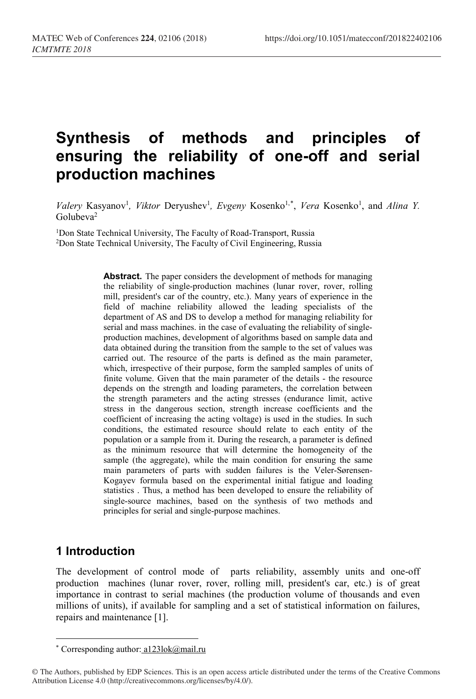# **Synthesis of methods and principles of ensuring the reliability of one-off and serial production machines**

*Valery* Kasyanov<sup>1</sup>, *Viktor Deryushev<sup>1</sup>, <i>Evgeny* Kosenko<sup>1,[\\*](#page-0-0)</sup>, *Vera* Kosenko<sup>1</sup>, and *Alina Y.* Golubeva2

<sup>1</sup>Don State Technical University, The Faculty of Road-Transport, Russia 2Don State Technical University, The Faculty of Civil Engineering, Russia

> **Abstract.** The paper considers the development of methods for managing the reliability of single-production machines (lunar rover, rover, rolling mill, president's car of the country, etc.). Many years of experience in the field of machine reliability allowed the leading specialists of the department of AS and DS to develop a method for managing reliability for serial and mass machines. in the case of evaluating the reliability of singleproduction machines, development of algorithms based on sample data and data obtained during the transition from the sample to the set of values was carried out. The resource of the parts is defined as the main parameter, which, irrespective of their purpose, form the sampled samples of units of finite volume. Given that the main parameter of the details - the resource depends on the strength and loading parameters, the correlation between the strength parameters and the acting stresses (endurance limit, active stress in the dangerous section, strength increase coefficients and the coefficient of increasing the acting voltage) is used in the studies. In such conditions, the estimated resource should relate to each entity of the population or a sample from it. During the research, a parameter is defined as the minimum resource that will determine the homogeneity of the sample (the aggregate), while the main condition for ensuring the same main parameters of parts with sudden failures is the Veler-Sørensen-Kogayev formula based on the experimental initial fatigue and loading statistics . Thus, a method has been developed to ensure the reliability of single-source machines, based on the synthesis of two methods and principles for serial and single-purpose machines.

# **1 Introduction**

 $\overline{\phantom{a}}$ 

The development of control mode of parts reliability, assembly units and one-off production machines (lunar rover, rover, rolling mill, president's car, etc.) is of great importance in contrast to serial machines (the production volume of thousands and even millions of units), if available for sampling and a set of statistical information on failures, repairs and maintenance [1].

<sup>\*</sup> Corresponding author: [a123lok@mail.ru](mailto:a123lok@mail.ru)

<span id="page-0-0"></span><sup>©</sup> The Authors, published by EDP Sciences. This is an open access article distributed under the terms of the Creative Commons Attribution License 4.0 (http://creativecommons.org/licenses/by/4.0/).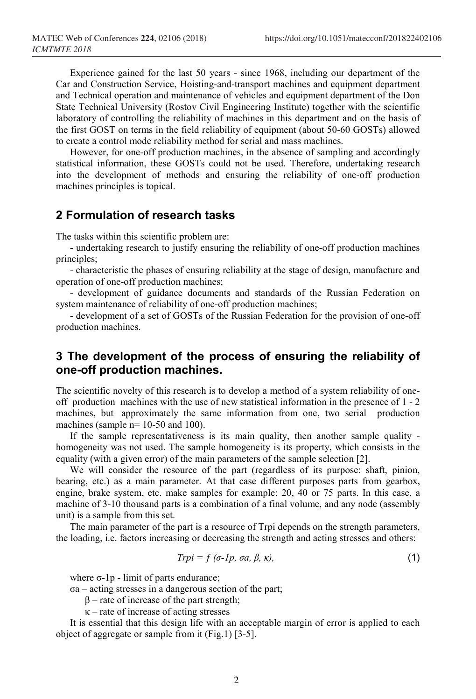Experience gained for the last 50 years - since 1968, including our department of the Car and Construction Service, Hoisting-and-transport machines and equipment department and Technical operation and maintenance of vehicles and equipment department of the Don State Technical University (Rostov Civil Engineering Institute) together with the scientific laboratory of controlling the reliability of machines in this department and on the basis of the first GOST on terms in the field reliability of equipment (about 50-60 GOSTs) allowed to create a control mode reliability method for serial and mass machines.

However, for one-off production machines, in the absence of sampling and accordingly statistical information, these GOSTs could not be used. Therefore, undertaking research into the development of methods and ensuring the reliability of one-off production machines principles is topical.

## **2 Formulation of research tasks**

The tasks within this scientific problem are:

- undertaking research to justify ensuring the reliability of one-off production machines principles;

- characteristic the phases of ensuring reliability at the stage of design, manufacture and operation of one-off production machines;

- development of guidance documents and standards of the Russian Federation on system maintenance of reliability of one-off production machines;

- development of a set of GOSTs of the Russian Federation for the provision of one-off production machines.

# **3 The development of the process of ensuring the reliability of one-off production machines.**

The scientific novelty of this research is to develop a method of a system reliability of oneoff production machines with the use of new statistical information in the presence of 1 - 2 machines, but [approximately](http://context.reverso.net/%25D0%25BF%25D0%25B5%25D1%2580%25D0%25B5%25D0%25B2%25D0%25BE%25D0%25B4/%25D0%25B0%25D0%25BD%25D0%25B3%25D0%25BB%25D0%25B8%25D0%25B9%25D1%2581%25D0%25BA%25D0%25B8%25D0%25B9-%25D1%2580%25D1%2583%25D1%2581%25D1%2581%25D0%25BA%25D0%25B8%25D0%25B9/approximately+the+same) the same information from one, two serial production machines (sample  $n= 10-50$  and 100).

If the sample representativeness is its main quality, then another sample quality homogeneity was not used. The sample homogeneity is its property, which consists in the equality (with a given error) of the main parameters of the sample selection [2].

We will consider the resource of the part (regardless of its purpose: shaft, pinion, bearing, etc.) as a main parameter. At that case different purposes parts from gearbox, engine, brake system, etc. make samples for example: 20, 40 or 75 parts. In this case, a machine of 3-10 thousand parts is a combination of a final volume, and any node (assembly unit) is a sample from this set.

The main parameter of the part is a resource of Trpi depends on the strength parameters, the loading, i.e. factors increasing or decreasing the strength and acting stresses and others:

$$
Tripi = f\ (\sigma - lp, \ \sigma a, \ \beta, \ \kappa),\tag{1}
$$

where σ-1p - limit of parts endurance;

σa – acting stresses in a dangerous section of the part;

 $β$  – [rate of increase of the p](http://context.reverso.net/%25D0%25BF%25D0%25B5%25D1%2580%25D0%25B5%25D0%25B2%25D0%25BE%25D0%25B4/%25D0%25B0%25D0%25BD%25D0%25B3%25D0%25BB%25D0%25B8%25D0%25B9%25D1%2581%25D0%25BA%25D0%25B8%25D0%25B9-%25D1%2580%25D1%2583%25D1%2581%25D1%2581%25D0%25BA%25D0%25B8%25D0%25B9/increasing+the+strength+of)art strength;

 $\kappa$  – rate of increase of acting stresses

It is essential that this design life with an acceptable margin of error is applied to each object of aggregate or sample from it (Fig.1) [3-5].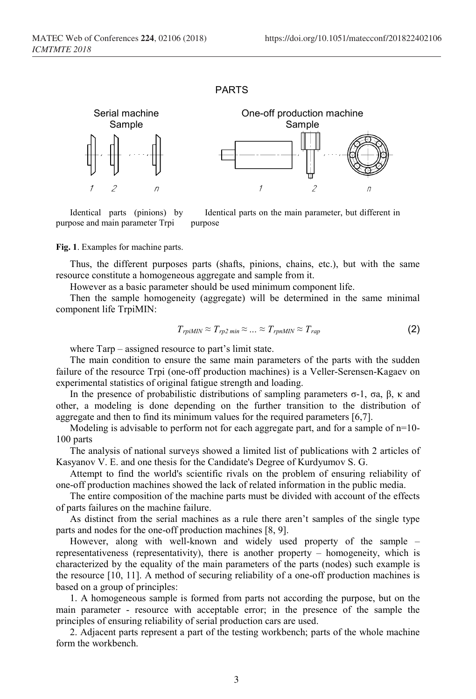#### PARTS



Identical parts (pinions) by purpose and main parameter Trpi Identical parts on the main parameter, but different in purpose

#### **Fig. 1**. Examples for machine parts.

Thus, the different purposes parts (shafts, pinions, chains, etc.), but with the same resource constitute a homogeneous aggregate and sample from it.

However as a basic parameter should be used minimum component life.

Then the sample homogeneity (aggregate) will be determined in the same minimal component life TrpiMIN:

$$
T_{rpiMIN} \approx T_{r p 2 min} \approx \dots \approx T_{rpnMIN} \approx T_{rap} \tag{2}
$$

where Tarp – assigned resource to part's limit state.

The main condition to ensure the same main parameters of the parts with the sudden failure of the resource Trpi (one-off production machines) is a Veller-Serensen-Kagaev on experimental statistics of original fatigue strength and loading.

In the presence of probabilistic distributions of sampling parameters  $σ-1$ ,  $σa$ ,  $β$ ,  $κ$  and other, a modeling is done depending on the further transition to the distribution of aggregate and then to find its minimum values for the required parameters [6,7].

Modeling is advisable to perform not for each aggregate part, and for a sample of  $n=10$ -100 parts

The analysis of national surveys showed a limited list of publications with 2 articles of Kasyanov V. E. and one [thesis for the Candidate's Degree](http://context.reverso.net/%25D0%25BF%25D0%25B5%25D1%2580%25D0%25B5%25D0%25B2%25D0%25BE%25D0%25B4/%25D0%25B0%25D0%25BD%25D0%25B3%25D0%25BB%25D0%25B8%25D0%25B9%25D1%2581%25D0%25BA%25D0%25B8%25D0%25B9-%25D1%2580%25D1%2583%25D1%2581%25D1%2581%25D0%25BA%25D0%25B8%25D0%25B9/thesis+for+the+Candidate%2527s+Degree) of Kurdyumov S. G.

Attempt to find the world's scientific rivals on the problem of ensuring reliability of one-off production machines showed the lack of related information in the public media.

The entire composition of the machine parts must be divided with account of the effects of parts failures on the machine failure.

As distinct from the serial machines as a rule there aren't samples of the single type parts and nodes for the one-off production machines [8, 9].

However, along with well-known and widely used property of the sample – representativeness [\(representativity\)](https://www.multitran.ru/c/m.exe?t=1907003_1_2&s1=%25EF%25F0%25E5%25E4%25F1%25F2%25E0%25E2%25E8%25F2%25E5%25EB%25FC%25ED%25EE%25F1%25F2%25FC), there is another property – homogeneity, which is characterized by the equality of the main parameters of the parts (nodes) such example is the resource [10, 11]. A method of securing reliability of a one-off production machines is based on a group of principles:

1. A homogeneous sample is formed from parts not according the purpose, but on the main parameter - resource with acceptable error; in the presence of the sample the principles of ensuring reliability of serial production cars are used.

2. Adjacent parts represent a part of the testing workbench; parts of the whole machine form the workbench.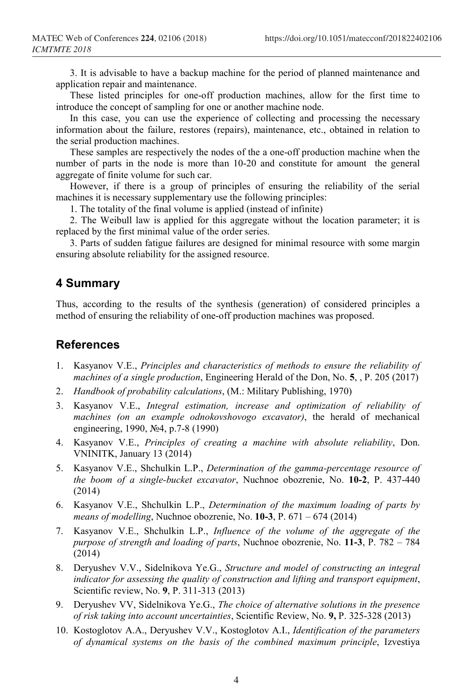3. It is advisable to have a backup machine for the period of [planned maintenance](https://www.multitran.ru/c/m.exe?t=2377937_1_2&s1=%25EF%25EB%25E0%25ED%25EE%25E2%25FB%25E9%2520%25F0%25E5%25EC%25EE%25ED%25F2) and application repair and maintenance.

These listed principles for one-off production machines, allow for the first time to introduce the concept of sampling for one or another machine node.

In this case, you can use the experience of collecting and processing the necessary information about the failure, restores (repairs), maintenance, etc., obtained in relation to the serial production machines.

These samples are respectively the nodes of the a one-off production machine when the number of parts in the node is more than 10-20 and constitute for amount the general aggregate of finite volume for such car.

However, if there is a group of principles of ensuring the reliability of the serial machines it is necessary supplementary use the following principles:

1. The totality of the final volume is applied (instead of infinite)

2. The Weibull law is applied for this aggregate without the location parameter; it is replaced by the first minimal value of the order series.

3. Parts of sudden fatigue failures are designed for minimal resource with some margin ensuring absolute reliability for the assigned resource.

### **4 Summary**

Thus, according to the results of the synthesis (generation) of considered principles a method of ensuring the reliability of one-off production machines was proposed.

## **References**

- 1. Kasyanov V.E., *Principles and characteristics of methods to ensure the reliability of machines of a single production*, Engineering Herald of the Don, No. **5**, , P. 205 (2017)
- 2. *Handbook of probability calculations*, (M.: Military Publishing, 1970)
- 3. Kasyanov V.E., *Integral estimation, increase and optimization of reliability of machines (on an example odnokovshovogo excavator)*, the herald of mechanical engineering, 1990, №4, p.7-8 (1990)
- 4. Kasyanov V.E., *Principles of creating a machine with absolute reliability*, Don. VNINITK, January 13 (2014)
- 5. Kasyanov V.E., Shchulkin L.P., *Determination of the gamma-percentage resource of the boom of a single-bucket excavator*, Nuchnoe obozrenie, No. **10-2**, P. 437-440 (2014)
- 6. Kasyanov V.E., Shchulkin L.P., *Determination of the maximum loading of parts by means of modelling*, Nuchnoe obozrenie, No. **10-3**, P. 671 – 674 (2014)
- 7. Kasyanov V.E., Shchulkin L.P., *Influence of the volume of the aggregate of the purpose of strength and loading of parts*, Nuchnoe obozrenie, No. **11-3**, P. 782 – 784 (2014)
- 8. Deryushev V.V., Sidelnikova Ye.G., *Structure and model of constructing an integral indicator for assessing the quality of construction and lifting and transport equipment*, Scientific review, No. **9**, P. 311-313 (2013)
- 9. Deryushev VV, Sidelnikova Ye.G., *The choice of alternative solutions in the presence of risk taking into account uncertainties*, Scientific Review, No. **9,** P. 325-328 (2013)
- 10. Kostoglotov A.A., Deryushev V.V., Kostoglotov A.I., *Identification of the parameters of dynamical systems on the basis of the combined maximum principle*, Izvestiya